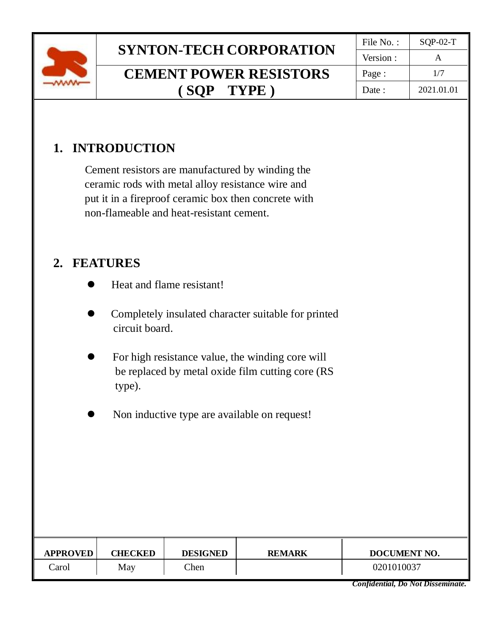

## **SYNTON-TECH CORPORATION**  $\begin{array}{|c|c|c|c|c|c|c|c|c|}\hline \text{File No. :} & \text{SQP-02-T} \\\hline \text{Version :} & \text{A}\hline \end{array}$ **CEMENT POWER RESISTORS**

Version : Page : 1/7 Date : 2021.01.01

## **( SQP TYPE )**

## **1. INTRODUCTION**

 Cement resistors are manufactured by winding the ceramic rods with metal alloy resistance wire and put it in a fireproof ceramic box then concrete with non-flameable and heat-resistant cement.

### **2. FEATURES**

- Heat and flame resistant!
- ⚫ Completely insulated character suitable for printed circuit board.
- ⚫ For high resistance value, the winding core will be replaced by metal oxide film cutting core (RS type).
- ⚫ Non inductive type are available on request!

| <b>APPROVED</b> | <b>CHECKED</b> | <b>DESIGNED</b> | <b>REMARK</b> | <b>DOCUMENT NO.</b> |
|-----------------|----------------|-----------------|---------------|---------------------|
| Carol           | May            | Chen            |               | 0201010037          |

*Confidential, Do Not Disseminate.*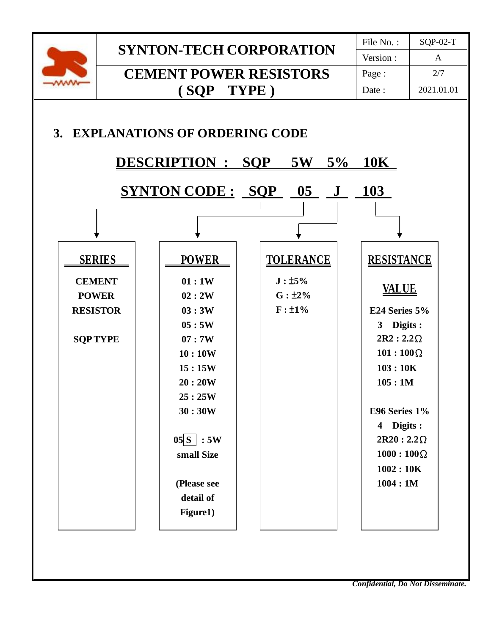

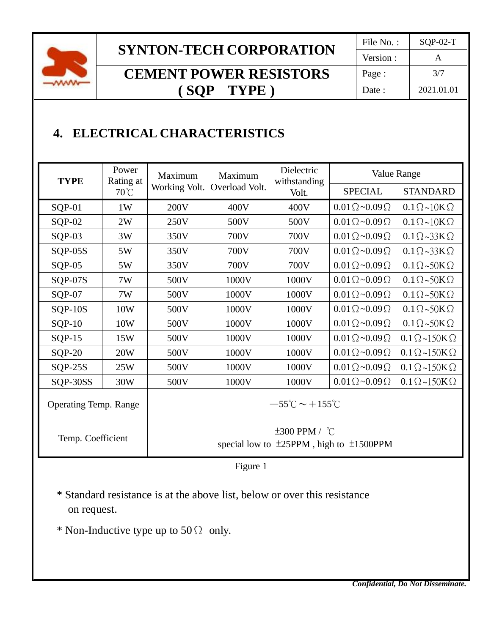

## **SYNTON-TECH CORPORATION**

## **CEMENT POWER RESISTORS ( SQP TYPE )**

| File No.: | $SOP-02-T$   |  |  |
|-----------|--------------|--|--|
| Version:  | $\mathsf{A}$ |  |  |
| Page:     | 3/7          |  |  |
| Date:     | 2021.01.01   |  |  |

## **4. ELECTRICAL CHARACTERISTICS**

| <b>TYPE</b>                  | Power<br>Rating at<br>$70^{\circ}$ C | Maximum<br>Working Volt.                                                  | Maximum<br>Overload Volt. | Dielectric<br>withstanding<br>Volt. | Value Range                  |                                       |  |  |
|------------------------------|--------------------------------------|---------------------------------------------------------------------------|---------------------------|-------------------------------------|------------------------------|---------------------------------------|--|--|
|                              |                                      |                                                                           |                           |                                     | <b>SPECIAL</b>               | <b>STANDARD</b>                       |  |  |
| $SQP-01$                     | 1W                                   | 200V                                                                      | 400V                      | 400V                                | $0.01\Omega \sim 0.09\Omega$ | $0.1 \Omega \sim 10 K \Omega$         |  |  |
| $SQP-02$                     | 2W                                   | 250V                                                                      | 500V                      | 500V                                | $0.01\Omega \sim 0.09\Omega$ | $0.1 \Omega \sim 10 K \Omega$         |  |  |
| $SQP-03$                     | 3W                                   | 350V                                                                      | 700V                      | 700V                                | $0.01\Omega \sim 0.09\Omega$ | $0.1 \Omega \sim 33 K \Omega$         |  |  |
| $SQP-05S$                    | 5W                                   | 350V                                                                      | 700V                      | 700V                                | $0.01\Omega \sim 0.09\Omega$ | $0.1 \Omega \sim 33 \text{K} \Omega$  |  |  |
| $SQP-05$                     | 5W                                   | 350V                                                                      | 700V                      | 700V                                | $0.01\Omega \sim 0.09\Omega$ | $0.1 \Omega \sim 50 K \Omega$         |  |  |
| $SQP-07S$                    | 7W                                   | 500V                                                                      | 1000V                     | 1000V                               | $0.01\Omega \sim 0.09\Omega$ | $0.1 \Omega \sim 50 K \Omega$         |  |  |
| $SQP-07$                     | 7W                                   | 500V                                                                      | 1000V                     | 1000V                               | $0.01\Omega \sim 0.09\Omega$ | $0.1 \Omega \sim 50 \text{K} \Omega$  |  |  |
| $SQP-10S$                    | 10W                                  | 500V                                                                      | 1000V                     | 1000V                               | $0.01\Omega \sim 0.09\Omega$ | $0.1 \Omega \sim 50 \text{K} \Omega$  |  |  |
| $SQP-10$                     | 10W                                  | 500V                                                                      | 1000V                     | 1000V                               | $0.01\Omega \sim 0.09\Omega$ | $0.1 \Omega \sim 50 \text{K} \Omega$  |  |  |
| $SQP-15$                     | 15W                                  | 500V                                                                      | 1000V                     | 1000V                               | $0.01\Omega \sim 0.09\Omega$ | $0.1 \Omega \sim 150 K \Omega$        |  |  |
| $SQP-20$                     | <b>20W</b>                           | 500V                                                                      | 1000V                     | 1000V                               | $0.01\Omega \sim 0.09\Omega$ | $0.1 \Omega \sim 150 \text{K} \Omega$ |  |  |
| $SQP-25S$                    | 25W                                  | 500V                                                                      | 1000V                     | 1000V                               | $0.01\Omega \sim 0.09\Omega$ | $0.1 \Omega \sim 150 \text{K} \Omega$ |  |  |
| SQP-30SS                     | 30W                                  | 500V                                                                      | 1000V                     | 1000V                               | $0.01\Omega \sim 0.09\Omega$ | $0.1 \Omega \sim 150 K \Omega$        |  |  |
| <b>Operating Temp. Range</b> |                                      | $-55^{\circ}$ C ~ +155 $^{\circ}$ C                                       |                           |                                     |                              |                                       |  |  |
| Temp. Coefficient            |                                      | $\pm 300$ PPM / °C<br>special low to $\pm 25$ PPM, high to $\pm 1500$ PPM |                           |                                     |                              |                                       |  |  |

Figure 1

 \* Standard resistance is at the above list, below or over this resistance on request.

\* Non-Inductive type up to  $50\Omega$  only.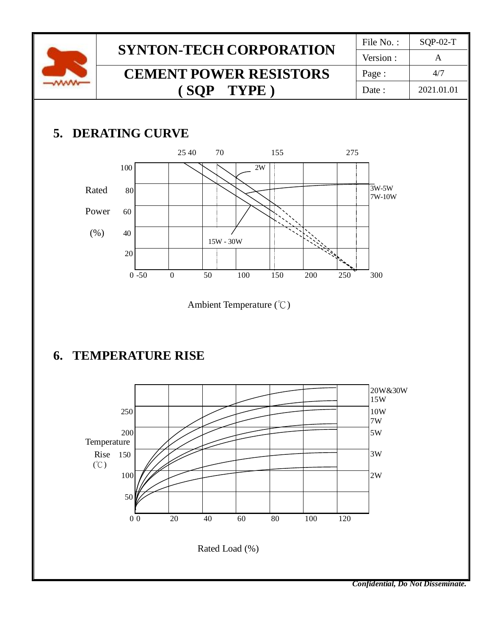

## **6. TEMPERATURE RISE**



*Confidential, Do Not Disseminate.*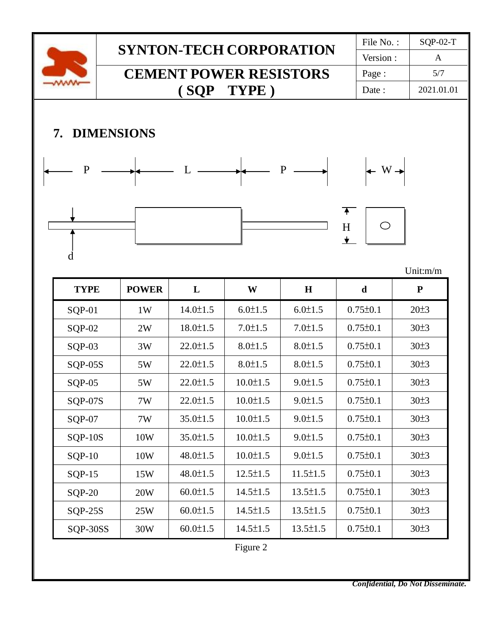

*Confidential, Do Not Disseminate.*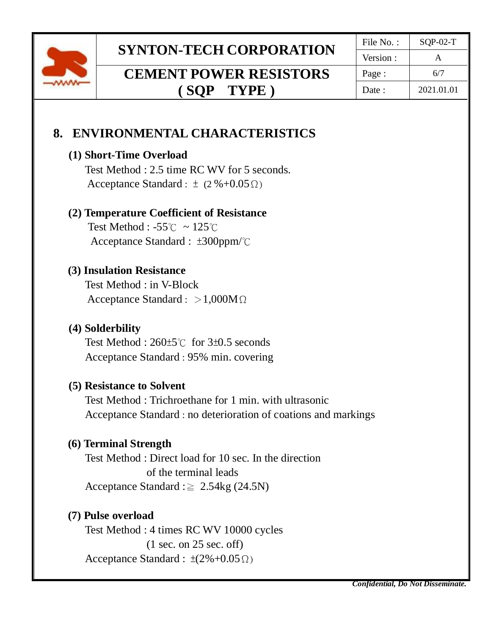

# **SYNTON-TECH CORPORATION**  $\begin{array}{|c|c|c|c|c|c|c|c|}\hline \text{File No. :} & \text{SQP-02-T} \\\hline \text{Version :} & \text{A}\hline \end{array}$

## **CEMENT POWER RESISTORS ( SQP TYPE )**

Version : Page :  $6/7$ Date : 2021.01.01

## **8. ENVIRONMENTAL CHARACTERISTICS**

#### **(1) Short-Time Overload**

Test Method : 2.5 time RC WV for 5 seconds. Acceptance Standard :  $\pm$  (2 %+0.05 Ω)

#### **(2) Temperature Coefficient of Resistance**

 Test Method : -55℃ ~ 125℃ Acceptance Standard : ±300ppm/℃

#### **(3) Insulation Resistance**

Test Method : in V-Block Acceptance Standard : >1,000MΩ

#### **(4) Solderbility**

Test Method : 260±5℃ for 3±0.5 seconds Acceptance Standard : 95% min. covering

#### **(5) Resistance to Solvent**

Test Method : Trichroethane for 1 min. with ultrasonic Acceptance Standard : no deterioration of coations and markings

#### **(6) Terminal Strength**

Test Method : Direct load for 10 sec. In the direction of the terminal leads Acceptance Standard : $\geq 2.54$ kg (24.5N)

#### **(7) Pulse overload**

Test Method : 4 times RC WV 10000 cycles (1 sec. on 25 sec. off) Acceptance Standard :  $\pm(2\%+0.05\,\Omega)$